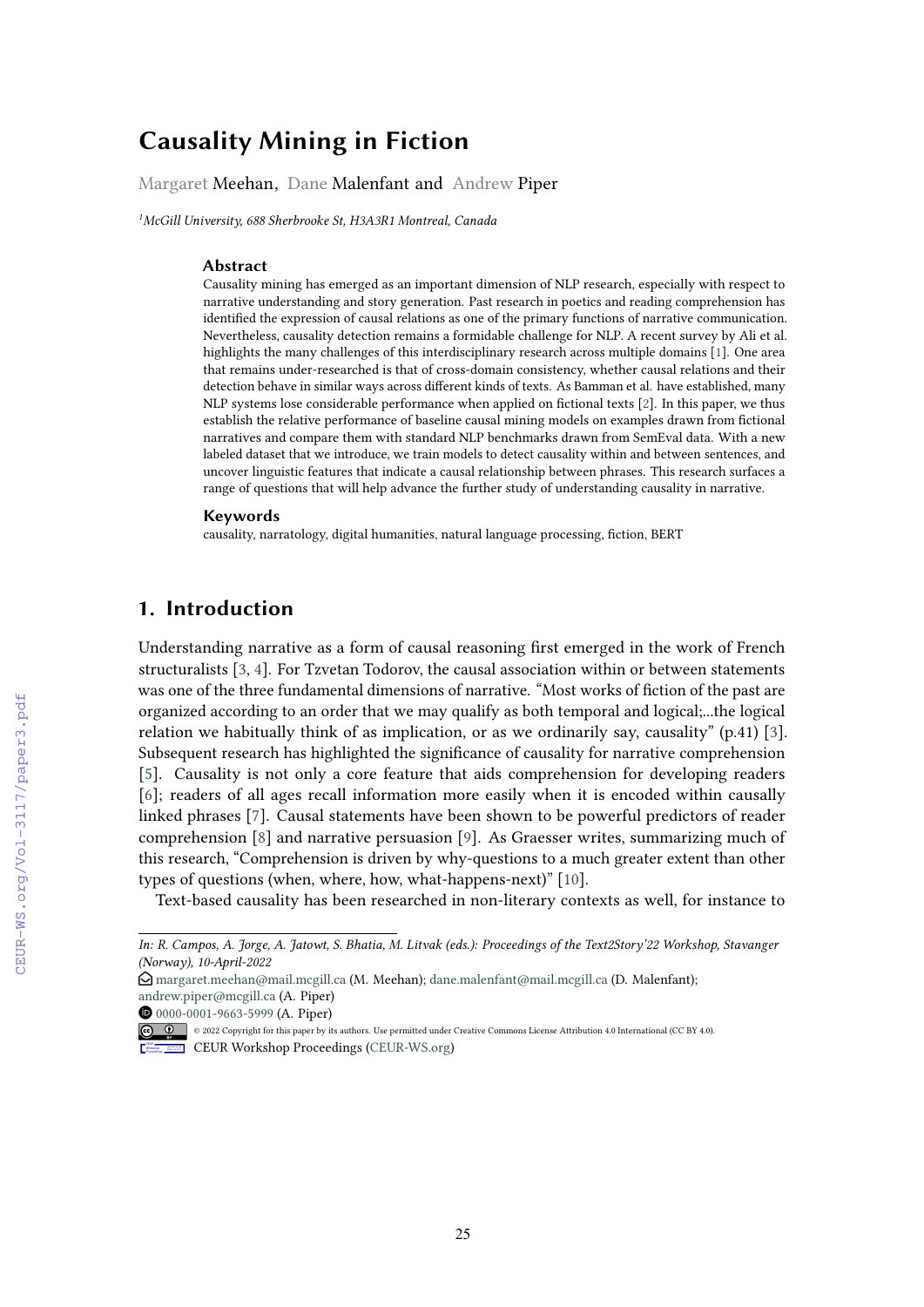# **Causality Mining in Fiction**

Margaret Meehan, Dane Malenfant and Andrew Piper

*1 McGill University, 688 Sherbrooke St, H3A3R1 Montreal, Canada*

#### **Abstract**

Causality mining has emerged as an important dimension of NLP research, especially with respect to narrative understanding and story generation. Past research in poetics and reading comprehension has identifed the expression of causal relations as one of the primary functions of narrative communication. Nevertheless, causality detection remains a formidable challenge for NLP. A recent survey by Ali et al. highlights the many challenges of this interdisciplinary research across multiple domains [\[1\]](#page--1-0). One area that remains under-researched is that of cross-domain consistency, whether causal relations and their detection behave in similar ways across diferent kinds of texts. As Bamman et al. have established, many NLP systems lose considerable performance when applied on fctional texts [\[2\]](#page--1-1). In this paper, we thus establish the relative performance of baseline causal mining models on examples drawn from fctional narratives and compare them with standard NLP benchmarks drawn from SemEval data. With a new labeled dataset that we introduce, we train models to detect causality within and between sentences, and uncover linguistic features that indicate a causal relationship between phrases. This research surfaces a range of questions that will help advance the further study of understanding causality in narrative.

#### **Keywords**

causality, narratology, digital humanities, natural language processing, fction, BERT

# **1. Introduction**

Understanding narrative as a form of causal reasoning frst emerged in the work of French structuralists [\[3,](#page--1-2) [4\]](#page--1-3). For Tzvetan Todorov, the causal association within or between statements was one of the three fundamental dimensions of narrative. "Most works of fction of the past are organized according to an order that we may qualify as both temporal and logical;...the logical relation we habitually think of as implication, or as we ordinarily say, causality"  $(p.41)$  [\[3\]](#page--1-2). Subsequent research has highlighted the signifcance of causality for narrative comprehension [\[5\]](#page--1-4). Causality is not only a core feature that aids comprehension for developing readers [\[6\]](#page--1-5); readers of all ages recall information more easily when it is encoded within causally linked phrases [\[7\]](#page--1-6). Causal statements have been shown to be powerful predictors of reader comprehension [\[8\]](#page--1-7) and narrative persuasion [\[9\]](#page--1-8). As Graesser writes, summarizing much of this research, "Comprehension is driven by why-questions to a much greater extent than other types of questions (when, where, how, what-happens-next)" [\[10\]](#page--1-9).

Text-based causality has been researched in non-literary contexts as well, for instance to

O [0000-0001-9663-5999](https://orcid.org/0000-0001-9663-5999) (A. Piper)

[Proceedings](http://ceur-ws.org)

*In: R. Campos, A. Jorge, A. Jatowt, S. Bhatia, M. Litvak (eds.): Proceedings of the Text2Story'22 Workshop, Stavanger (Norway), 10-April-2022*

 $\Theta$  [margaret.meehan@mail.mcgill.ca](mailto:margaret.meehan@mail.mcgill.ca) (M. Meehan); [dane.malenfant@mail.mcgill.ca](mailto:dane.malenfant@mail.mcgill.ca) (D. Malenfant); [andrew.piper@mcgill.ca](mailto:andrew.piper@mcgill.ca) (A. Piper)

<sup>© 2022</sup> Copyright for this paper by its authors. Use permitted under Creative Commons License Attribution 4.0 International (CC BY 4.0). Workshop **EDIA:** CEUR Workshop Proceedings [\(CEUR-WS.org\)](http://ceur-ws.org)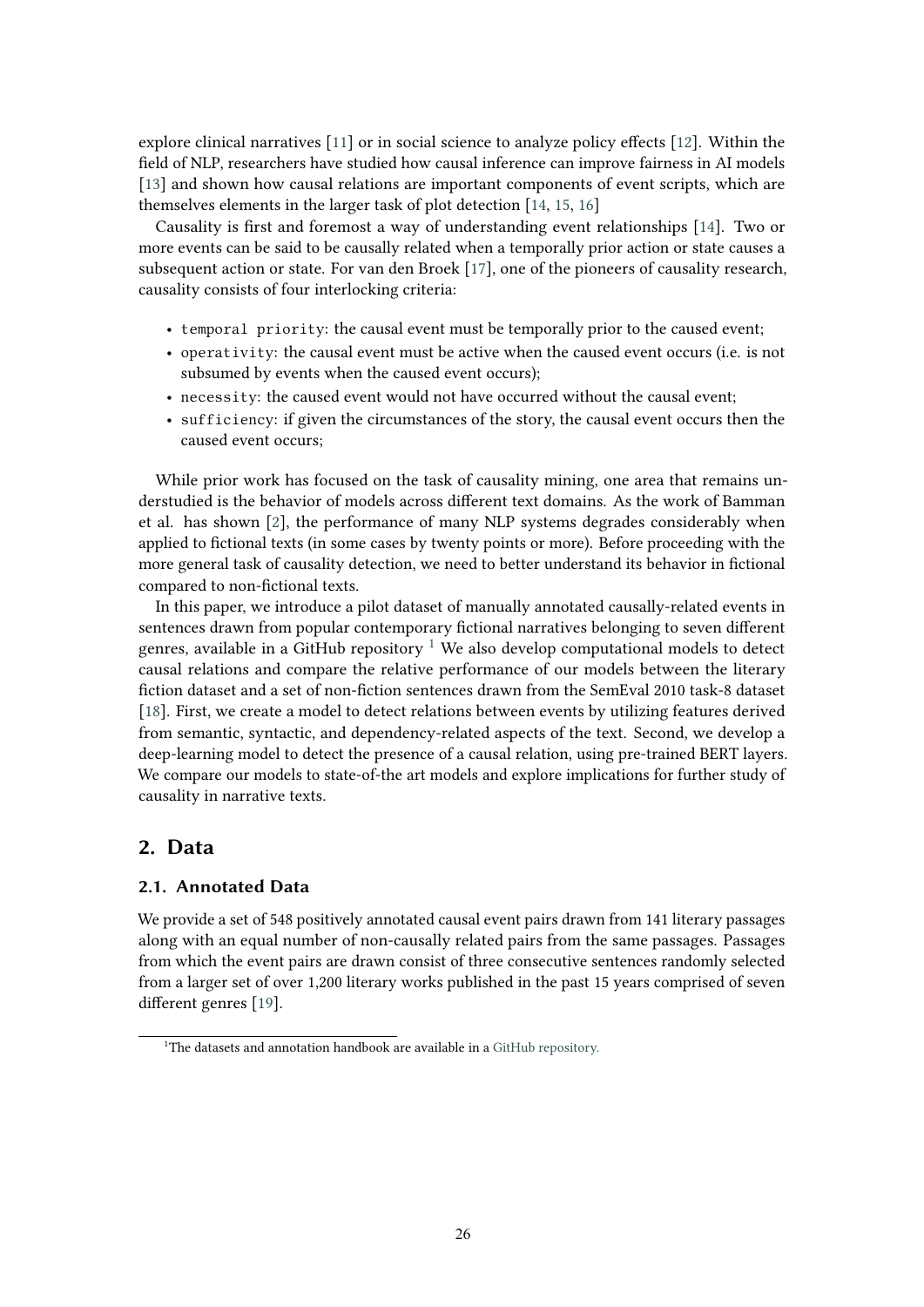explore clinical narratives [\[11\]](#page-8-0) or in social science to analyze policy efects [\[12\]](#page-8-1). Within the feld of NLP, researchers have studied how causal inference can improve fairness in AI models [\[13\]](#page-8-2) and shown how causal relations are important components of event scripts, which are themselves elements in the larger task of plot detection [\[14,](#page-8-3) [15,](#page-8-4) [16\]](#page-9-0)

Causality is frst and foremost a way of understanding event relationships [\[14\]](#page-8-3). Two or more events can be said to be causally related when a temporally prior action or state causes a subsequent action or state. For van den Broek [\[17\]](#page-9-1), one of the pioneers of causality research, causality consists of four interlocking criteria:

- temporal priority: the causal event must be temporally prior to the caused event;
- operativity: the causal event must be active when the caused event occurs (i.e. is not subsumed by events when the caused event occurs);
- necessity: the caused event would not have occurred without the causal event;
- sufficiency: if given the circumstances of the story, the causal event occurs then the caused event occurs;

While prior work has focused on the task of causality mining, one area that remains understudied is the behavior of models across diferent text domains. As the work of Bamman et al. has shown [\[2\]](#page-8-5), the performance of many NLP systems degrades considerably when applied to fictional texts (in some cases by twenty points or more). Before proceeding with the more general task of causality detection, we need to better understand its behavior in fctional compared to non-fctional texts.

In this paper, we introduce a pilot dataset of manually annotated causally-related events in sentences drawn from popular contemporary fictional narratives belonging to seven different genres, available in a GitHub repository  $1$  We also develop computational models to detect causal relations and compare the relative performance of our models between the literary fction dataset and a set of non-fction sentences drawn from the SemEval 2010 task-8 dataset [\[18\]](#page-9-2). First, we create a model to detect relations between events by utilizing features derived from semantic, syntactic, and dependency-related aspects of the text. Second, we develop a deep-learning model to detect the presence of a causal relation, using pre-trained BERT layers. We compare our models to state-of-the art models and explore implications for further study of causality in narrative texts.

## **2. Data**

### **2.1. Annotated Data**

We provide a set of 548 positively annotated causal event pairs drawn from 141 literary passages along with an equal number of non-causally related pairs from the same passages. Passages from which the event pairs are drawn consist of three consecutive sentences randomly selected from a larger set of over 1,200 literary works published in the past 15 years comprised of seven diferent genres [\[19\]](#page-9-3).

<span id="page-1-0"></span><sup>&</sup>lt;sup>1</sup>The datasets and annotation handbook are available in a [GitHub repository.](https://github.com/margaretmeehan/causality_fiction_dataset)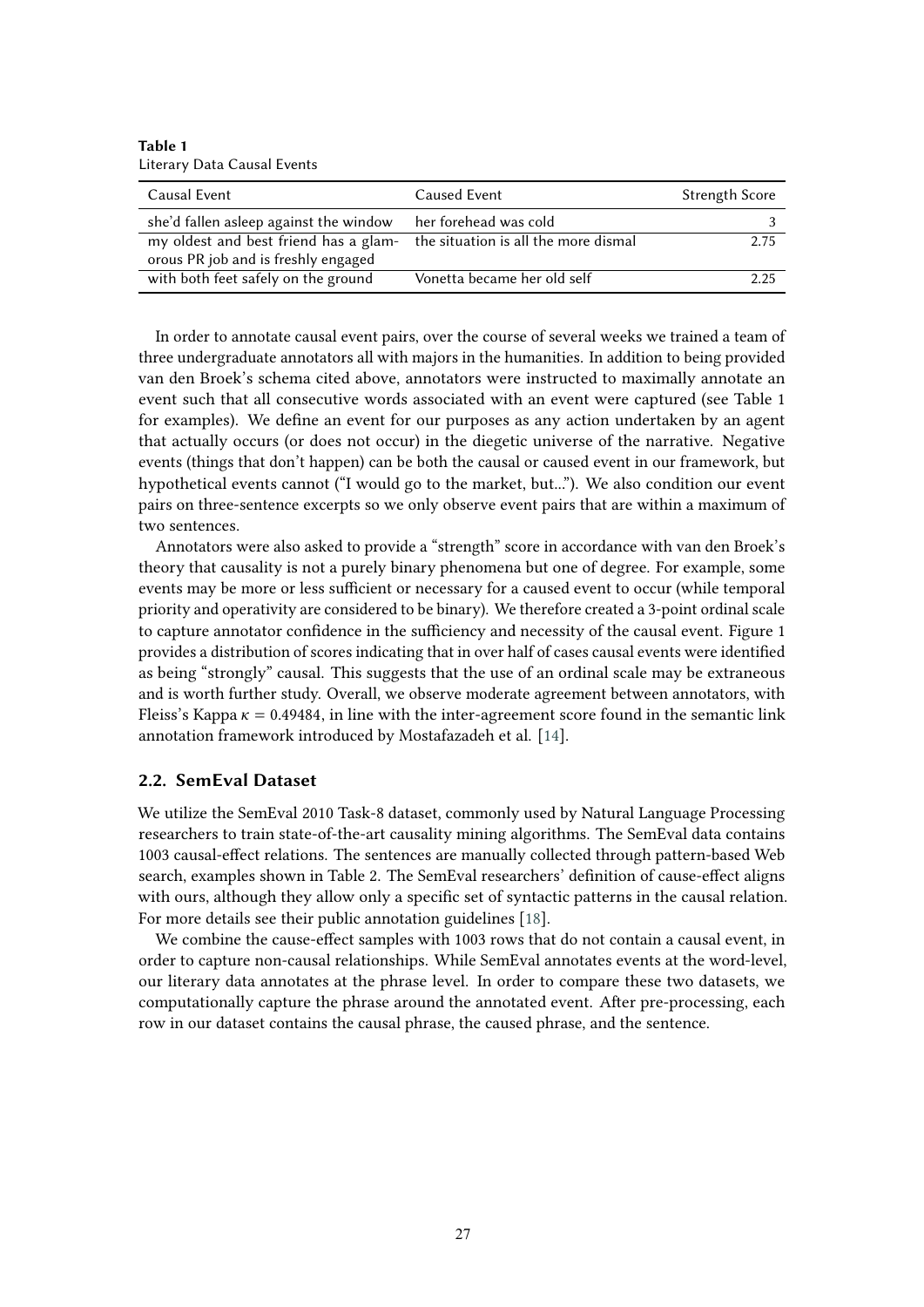**Table 1** Literary Data Causal Events

| Causal Event                                                               | Caused Event                | <b>Strength Score</b> |
|----------------------------------------------------------------------------|-----------------------------|-----------------------|
| she'd fallen asleep against the window                                     | her forehead was cold       |                       |
| my oldest and best friend has a glam- the situation is all the more dismal |                             | 2.75                  |
| orous PR job and is freshly engaged                                        |                             |                       |
| with both feet safely on the ground                                        | Vonetta became her old self | 225                   |

In order to annotate causal event pairs, over the course of several weeks we trained a team of three undergraduate annotators all with majors in the humanities. In addition to being provided van den Broek's schema cited above, annotators were instructed to maximally annotate an event such that all consecutive words associated with an event were captured (see Table 1 for examples). We defne an event for our purposes as any action undertaken by an agent that actually occurs (or does not occur) in the diegetic universe of the narrative. Negative events (things that don't happen) can be both the causal or caused event in our framework, but hypothetical events cannot ("I would go to the market, but..."). We also condition our event pairs on three-sentence excerpts so we only observe event pairs that are within a maximum of two sentences.

Annotators were also asked to provide a "strength" score in accordance with van den Broek's theory that causality is not a purely binary phenomena but one of degree. For example, some events may be more or less sufficient or necessary for a caused event to occur (while temporal priority and operativity are considered to be binary). We therefore created a 3-point ordinal scale to capture annotator confidence in the sufficiency and necessity of the causal event. Figure 1 provides a distribution of scores indicating that in over half of cases causal events were identifed as being "strongly" causal. This suggests that the use of an ordinal scale may be extraneous and is worth further study. Overall, we observe moderate agreement between annotators, with Fleiss's Kappa  $\kappa = 0.49484$ , in line with the inter-agreement score found in the semantic link annotation framework introduced by Mostafazadeh et al. [\[14\]](#page-8-3).

#### **2.2. SemEval Dataset**

We utilize the SemEval 2010 Task-8 dataset, commonly used by Natural Language Processing researchers to train state-of-the-art causality mining algorithms. The SemEval data contains 1003 causal-efect relations. The sentences are manually collected through pattern-based Web search, examples shown in Table 2. The SemEval researchers' defnition of cause-efect aligns with ours, although they allow only a specific set of syntactic patterns in the causal relation. For more details see their public annotation guidelines [\[18\]](#page-9-2).

We combine the cause-efect samples with 1003 rows that do not contain a causal event, in order to capture non-causal relationships. While SemEval annotates events at the word-level, our literary data annotates at the phrase level. In order to compare these two datasets, we computationally capture the phrase around the annotated event. Afer pre-processing, each row in our dataset contains the causal phrase, the caused phrase, and the sentence.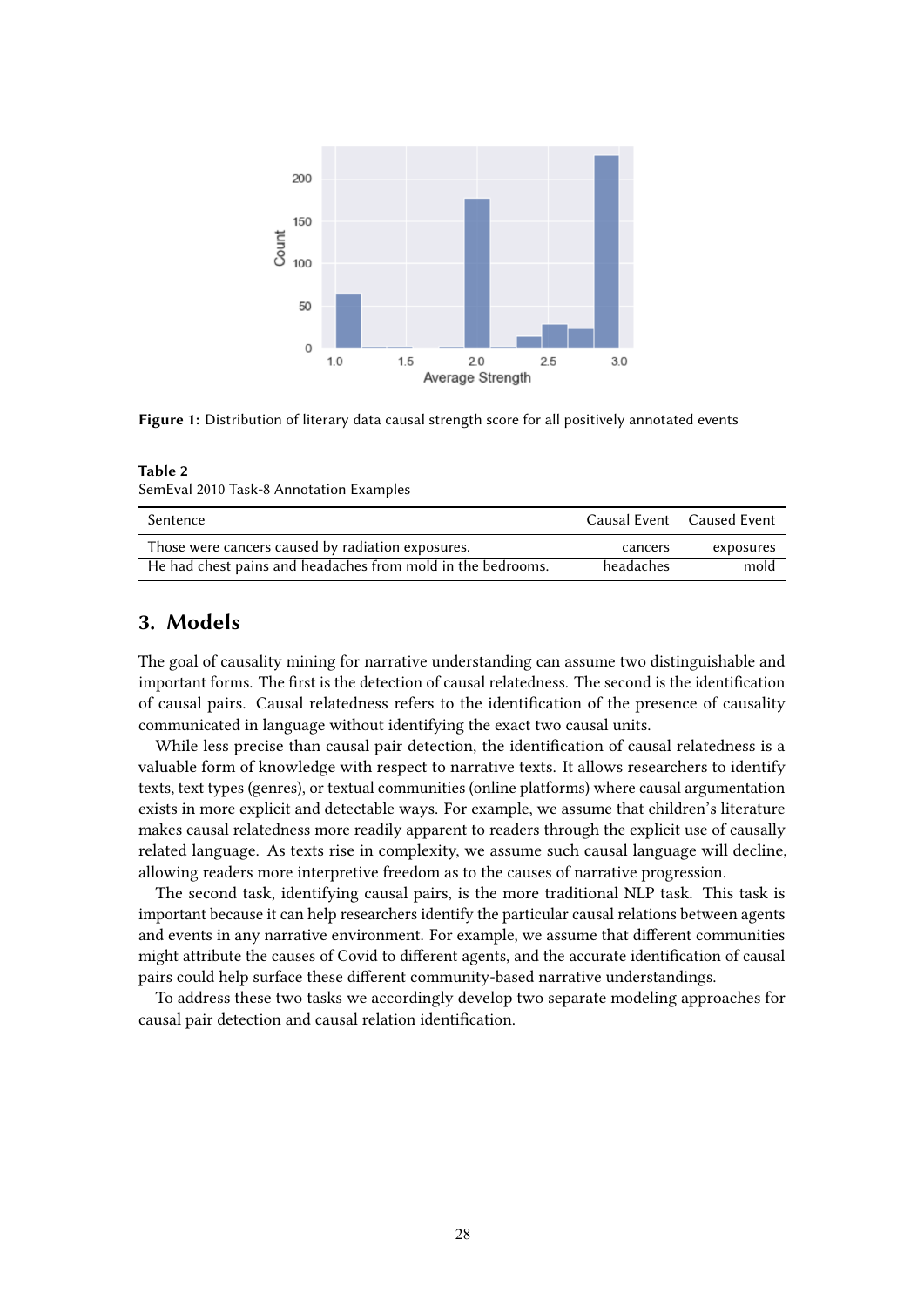

**Figure 1:** Distribution of literary data causal strength score for all positively annotated events

#### **Table 2**

SemEval 2010 Task-8 Annotation Examples

| Sentence                                                    |           | Causal Event Caused Event |
|-------------------------------------------------------------|-----------|---------------------------|
| Those were cancers caused by radiation exposures.           | cancers   | exposures                 |
| He had chest pains and headaches from mold in the bedrooms. | headaches | mold                      |

# **3. Models**

The goal of causality mining for narrative understanding can assume two distinguishable and important forms. The frst is the detection of causal relatedness. The second is the identifcation of causal pairs. Causal relatedness refers to the identifcation of the presence of causality communicated in language without identifying the exact two causal units.

While less precise than causal pair detection, the identifcation of causal relatedness is a valuable form of knowledge with respect to narrative texts. It allows researchers to identify texts, text types (genres), or textual communities (online platforms) where causal argumentation exists in more explicit and detectable ways. For example, we assume that children's literature makes causal relatedness more readily apparent to readers through the explicit use of causally related language. As texts rise in complexity, we assume such causal language will decline, allowing readers more interpretive freedom as to the causes of narrative progression.

The second task, identifying causal pairs, is the more traditional NLP task. This task is important because it can help researchers identify the particular causal relations between agents and events in any narrative environment. For example, we assume that diferent communities might attribute the causes of Covid to diferent agents, and the accurate identifcation of causal pairs could help surface these diferent community-based narrative understandings.

To address these two tasks we accordingly develop two separate modeling approaches for causal pair detection and causal relation identifcation.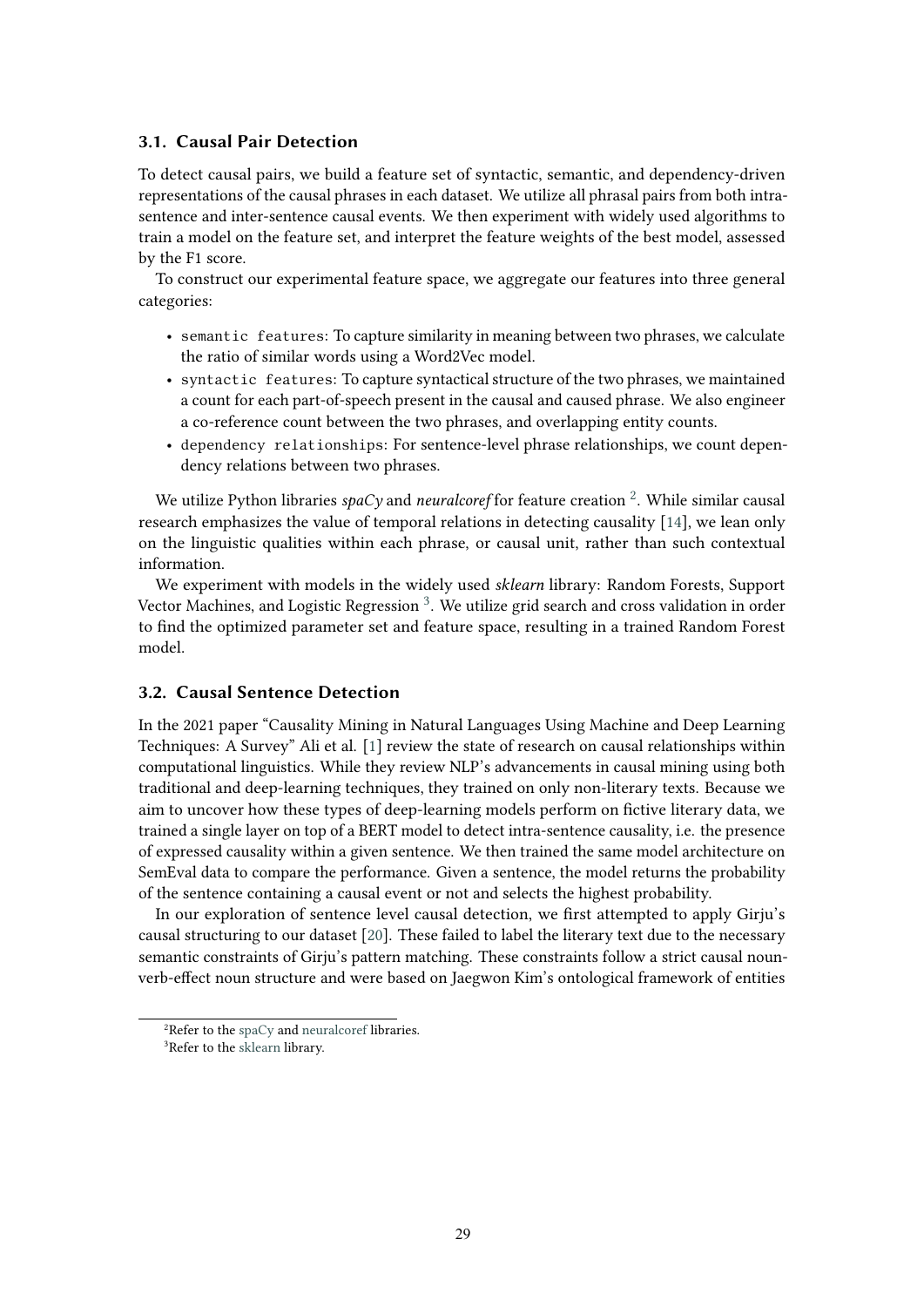### **3.1. Causal Pair Detection**

To detect causal pairs, we build a feature set of syntactic, semantic, and dependency-driven representations of the causal phrases in each dataset. We utilize all phrasal pairs from both intrasentence and inter-sentence causal events. We then experiment with widely used algorithms to train a model on the feature set, and interpret the feature weights of the best model, assessed by the F1 score.

To construct our experimental feature space, we aggregate our features into three general categories:

- semantic features: To capture similarity in meaning between two phrases, we calculate the ratio of similar words using a Word2Vec model.
- syntactic features: To capture syntactical structure of the two phrases, we maintained a count for each part-of-speech present in the causal and caused phrase. We also engineer a co-reference count between the two phrases, and overlapping entity counts.
- dependency relationships: For sentence-level phrase relationships, we count dependency relations between two phrases.

We utilize Python libraries *spaCy* and *neuralcoref* for feature creation <sup>2</sup>. While similar causal research emphasizes the value of temporal relations in detecting causality [\[14\]](#page-8-3), we lean only on the linguistic qualities within each phrase, or causal unit, rather than such contextual information.

We experiment with models in the widely used *sklearn* library: Random Forests, Support Vector Machines, and Logistic Regression<sup>3</sup>. We utilize grid search and cross validation in order to fnd the optimized parameter set and feature space, resulting in a trained Random Forest model.

#### **3.2. Causal Sentence Detection**

In the 2021 paper "Causality Mining in Natural Languages Using Machine and Deep Learning Techniques: A Survey" Ali et al. [\[1\]](#page-8-6) review the state of research on causal relationships within computational linguistics. While they review NLP's advancements in causal mining using both traditional and deep-learning techniques, they trained on only non-literary texts. Because we aim to uncover how these types of deep-learning models perform on fctive literary data, we trained a single layer on top of a BERT model to detect intra-sentence causality, i.e. the presence of expressed causality within a given sentence. We then trained the same model architecture on SemEval data to compare the performance. Given a sentence, the model returns the probability of the sentence containing a causal event or not and selects the highest probability.

In our exploration of sentence level causal detection, we frst attempted to apply Girju's causal structuring to our dataset [\[20\]](#page-9-4). These failed to label the literary text due to the necessary semantic constraints of Girju's pattern matching. These constraints follow a strict causal nounverb-efect noun structure and were based on Jaegwon Kim's ontological framework of entities

<span id="page-4-1"></span><span id="page-4-0"></span><sup>&</sup>lt;sup>2</sup>Refer to the [spaCy](https://spacy.io/) and [neuralcoref](https://spacy.io/universe/project/neuralcoref) libraries. <sup>3</sup>Refer to the [sklearn](https://scikit-learn.org/) library.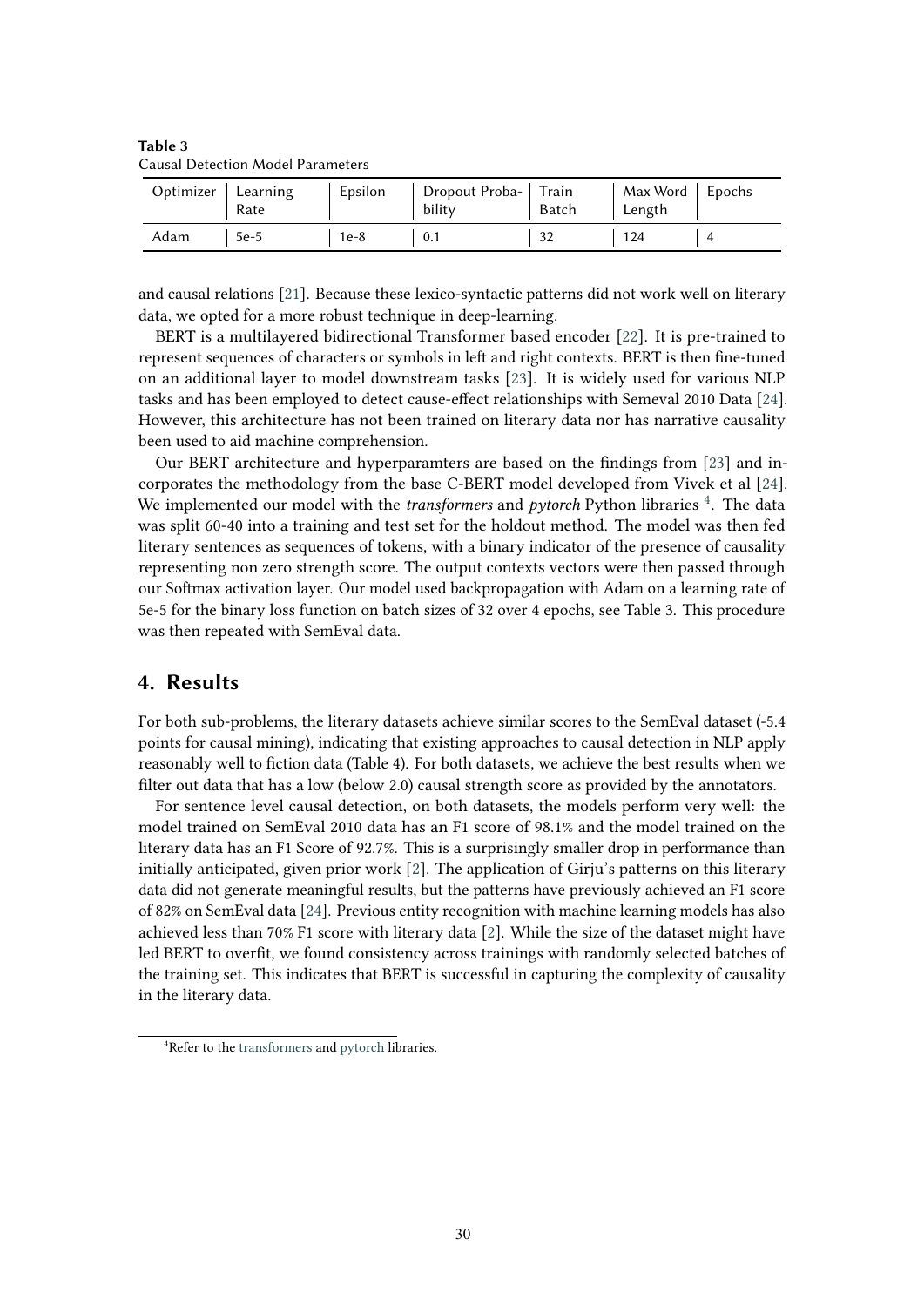| Optimizer | Learning<br>Rate | Epsilon | Dropout Proba- Train<br>bility | Batch | Max Word $\vert$ Epochs<br>Length |  |
|-----------|------------------|---------|--------------------------------|-------|-----------------------------------|--|
| Adam      | $5e-5$           | $1e-8$  | 0.1                            |       | 124                               |  |

**Table 3** Causal Detection Model Parameters

and causal relations [\[21\]](#page-9-5). Because these lexico-syntactic patterns did not work well on literary data, we opted for a more robust technique in deep-learning.

BERT is a multilayered bidirectional Transformer based encoder [\[22\]](#page-9-6). It is pre-trained to represent sequences of characters or symbols in left and right contexts. BERT is then fine-tuned on an additional layer to model downstream tasks [\[23\]](#page-9-7). It is widely used for various NLP tasks and has been employed to detect cause-efect relationships with Semeval 2010 Data [\[24\]](#page-9-8). However, this architecture has not been trained on literary data nor has narrative causality been used to aid machine comprehension.

Our BERT architecture and hyperparamters are based on the fndings from [\[23\]](#page-9-7) and incorporates the methodology from the base C-BERT model developed from Vivek et al [\[24\]](#page-9-8). We implemented our model with the *transformers* and *pytorch* Python libraries <sup>4</sup>. The data was split 60-40 into a training and test set for the holdout method. The model was then fed literary sentences as sequences of tokens, with a binary indicator of the presence of causality representing non zero strength score. The output contexts vectors were then passed through our Sofmax activation layer. Our model used backpropagation with Adam on a learning rate of 5e-5 for the binary loss function on batch sizes of 32 over 4 epochs, see Table 3. This procedure was then repeated with SemEval data.

# **4. Results**

For both sub-problems, the literary datasets achieve similar scores to the SemEval dataset (-5.4 points for causal mining), indicating that existing approaches to causal detection in NLP apply reasonably well to fction data (Table 4). For both datasets, we achieve the best results when we flter out data that has a low (below 2.0) causal strength score as provided by the annotators.

For sentence level causal detection, on both datasets, the models perform very well: the model trained on SemEval 2010 data has an F1 score of 98.1% and the model trained on the literary data has an F1 Score of 92.7%. This is a surprisingly smaller drop in performance than initially anticipated, given prior work [\[2\]](#page-8-5). The application of Girju's patterns on this literary data did not generate meaningful results, but the patterns have previously achieved an F1 score of 82% on SemEval data [\[24\]](#page-9-8). Previous entity recognition with machine learning models has also achieved less than 70% F1 score with literary data [\[2\]](#page-8-5). While the size of the dataset might have led BERT to overft, we found consistency across trainings with randomly selected batches of the training set. This indicates that BERT is successful in capturing the complexity of causality in the literary data.

<span id="page-5-0"></span><sup>&</sup>lt;sup>4</sup>Refer to the [transformers](https://huggingface.co/docs/transformers) and [pytorch](https://pytorch.org/) libraries.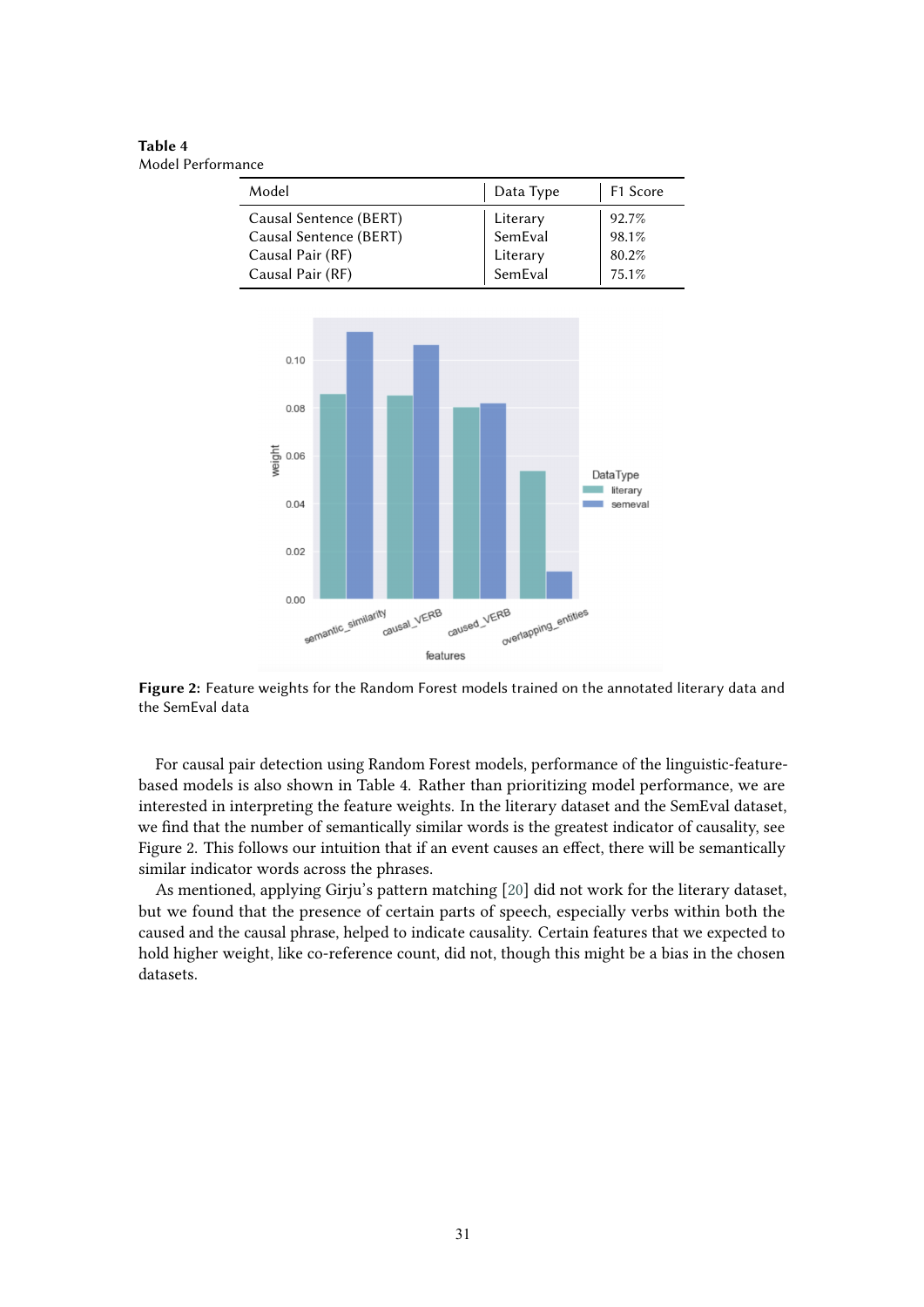**Table 4** Model Performance

| Model                  | Data Type           | F1 Score |
|------------------------|---------------------|----------|
| Causal Sentence (BERT) | Literary            | 92.7%    |
| Causal Sentence (BERT) | SemEval             | 98.1%    |
| Causal Pair (RF)       | Literary<br>SemEval | 80.2%    |
| Causal Pair (RF)       |                     | 75.1%    |



**Figure 2:** Feature weights for the Random Forest models trained on the annotated literary data and the SemEval data

For causal pair detection using Random Forest models, performance of the linguistic-featurebased models is also shown in Table 4. Rather than prioritizing model performance, we are interested in interpreting the feature weights. In the literary dataset and the SemEval dataset, we fnd that the number of semantically similar words is the greatest indicator of causality, see Figure 2. This follows our intuition that if an event causes an efect, there will be semantically similar indicator words across the phrases.

As mentioned, applying Girju's pattern matching [\[20\]](#page-9-4) did not work for the literary dataset, but we found that the presence of certain parts of speech, especially verbs within both the caused and the causal phrase, helped to indicate causality. Certain features that we expected to hold higher weight, like co-reference count, did not, though this might be a bias in the chosen datasets.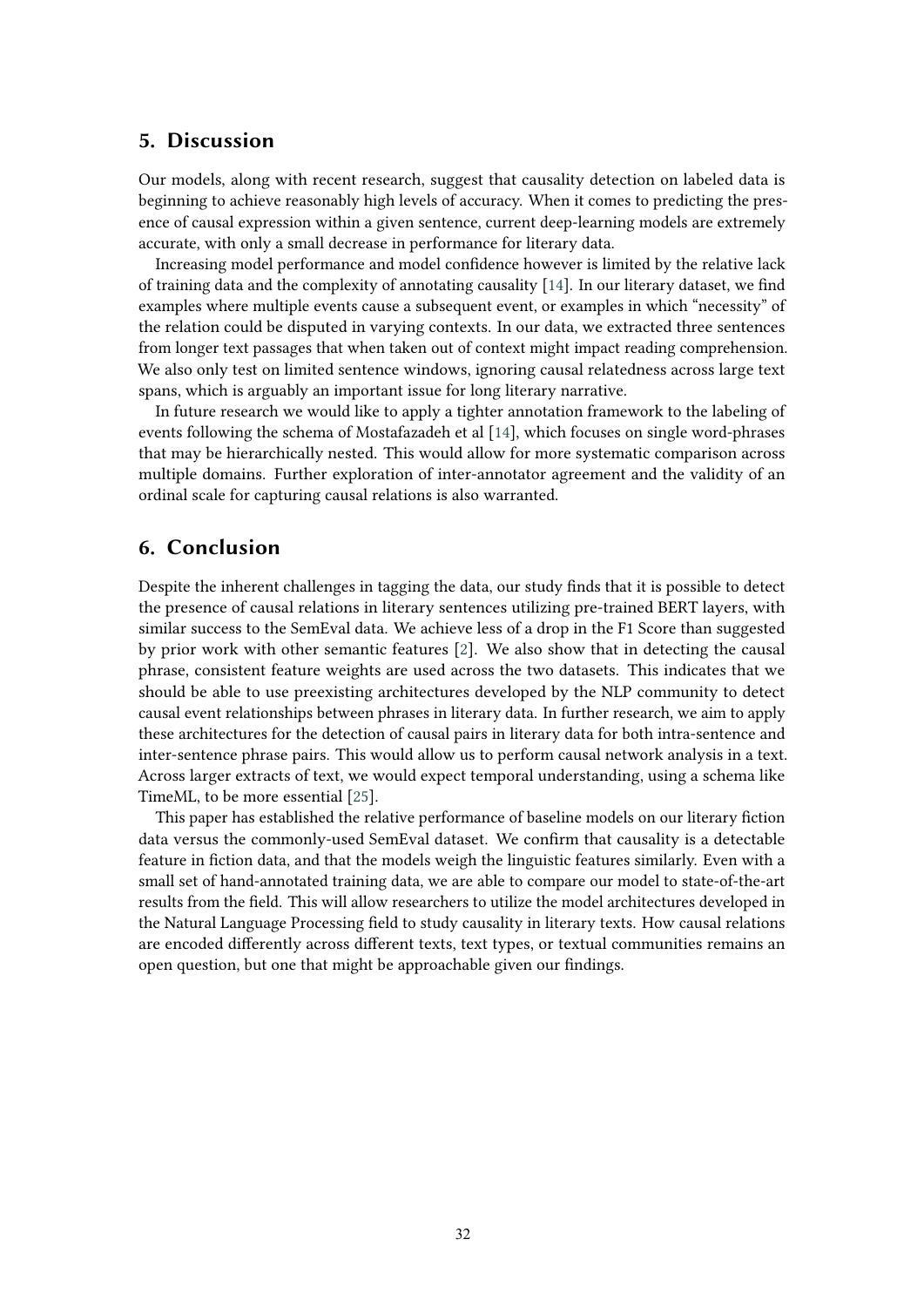## **5. Discussion**

Our models, along with recent research, suggest that causality detection on labeled data is beginning to achieve reasonably high levels of accuracy. When it comes to predicting the presence of causal expression within a given sentence, current deep-learning models are extremely accurate, with only a small decrease in performance for literary data.

Increasing model performance and model confdence however is limited by the relative lack of training data and the complexity of annotating causality [\[14\]](#page-8-3). In our literary dataset, we fnd examples where multiple events cause a subsequent event, or examples in which "necessity" of the relation could be disputed in varying contexts. In our data, we extracted three sentences from longer text passages that when taken out of context might impact reading comprehension. We also only test on limited sentence windows, ignoring causal relatedness across large text spans, which is arguably an important issue for long literary narrative.

In future research we would like to apply a tighter annotation framework to the labeling of events following the schema of Mostafazadeh et al [\[14\]](#page-8-3), which focuses on single word-phrases that may be hierarchically nested. This would allow for more systematic comparison across multiple domains. Further exploration of inter-annotator agreement and the validity of an ordinal scale for capturing causal relations is also warranted.

# **6. Conclusion**

Despite the inherent challenges in tagging the data, our study fnds that it is possible to detect the presence of causal relations in literary sentences utilizing pre-trained BERT layers, with similar success to the SemEval data. We achieve less of a drop in the F1 Score than suggested by prior work with other semantic features [\[2\]](#page-8-5). We also show that in detecting the causal phrase, consistent feature weights are used across the two datasets. This indicates that we should be able to use preexisting architectures developed by the NLP community to detect causal event relationships between phrases in literary data. In further research, we aim to apply these architectures for the detection of causal pairs in literary data for both intra-sentence and inter-sentence phrase pairs. This would allow us to perform causal network analysis in a text. Across larger extracts of text, we would expect temporal understanding, using a schema like TimeML, to be more essential [\[25\]](#page-9-9).

This paper has established the relative performance of baseline models on our literary fiction data versus the commonly-used SemEval dataset. We confrm that causality is a detectable feature in fction data, and that the models weigh the linguistic features similarly. Even with a small set of hand-annotated training data, we are able to compare our model to state-of-the-art results from the feld. This will allow researchers to utilize the model architectures developed in the Natural Language Processing feld to study causality in literary texts. How causal relations are encoded diferently across diferent texts, text types, or textual communities remains an open question, but one that might be approachable given our fndings.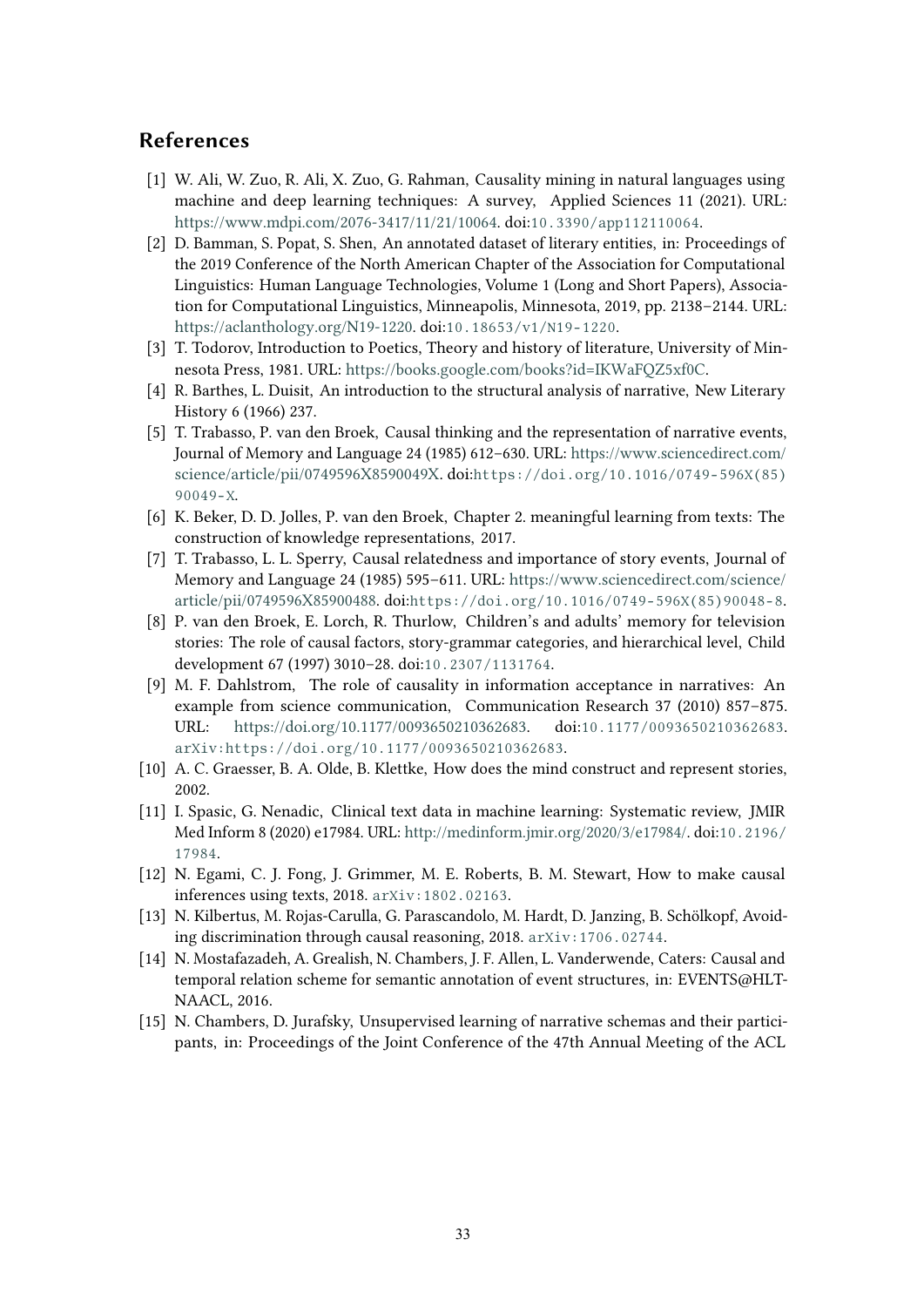# **References**

- <span id="page-8-6"></span>[1] W. Ali, W. Zuo, R. Ali, X. Zuo, G. Rahman, Causality mining in natural languages using machine and deep learning techniques: A survey, Applied Sciences 11 (2021). URL: [https://www.mdpi.com/2076-3417/11/21/10064.](https://www.mdpi.com/2076-3417/11/21/10064) doi:[10.3390/app112110064](http://dx.doi.org/10.3390/app112110064).
- <span id="page-8-5"></span>[2] D. Bamman, S. Popat, S. Shen, An annotated dataset of literary entities, in: Proceedings of the 2019 Conference of the North American Chapter of the Association for Computational Linguistics: Human Language Technologies, Volume 1 (Long and Short Papers), Association for Computational Linguistics, Minneapolis, Minnesota, 2019, pp. 2138–2144. URL: [https://aclanthology.org/N19-1220.](https://aclanthology.org/N19-1220) doi:[10.18653/v1/N19-1220](http://dx.doi.org/10.18653/v1/N19-1220).
- [3] T. Todorov, Introduction to Poetics, Theory and history of literature, University of Minnesota Press, 1981. URL: [https://books.google.com/books?id=IKWaFQZ5xf0C.](https://books.google.com/books?id=IKWaFQZ5xf0C)
- [4] R. Barthes, L. Duisit, An introduction to the structural analysis of narrative, New Literary History 6 (1966) 237.
- [5] T. Trabasso, P. van den Broek, Causal thinking and the representation of narrative events, Journal of Memory and Language 24 (1985) 612–630. URL: [https://www.sciencedirect.com/](https://www.sciencedirect.com/science/article/pii/0749596X8590049X) [science/article/pii/0749596X8590049X.](https://www.sciencedirect.com/science/article/pii/0749596X8590049X) doi:[https://doi.org/10.1016/0749-596X\(85\)](http://dx.doi.org/https://doi.org/10.1016/0749-596X(85)90049-X) [90049-X](http://dx.doi.org/https://doi.org/10.1016/0749-596X(85)90049-X).
- [6] K. Beker, D. D. Jolles, P. van den Broek, Chapter 2. meaningful learning from texts: The construction of knowledge representations, 2017.
- [7] T. Trabasso, L. L. Sperry, Causal relatedness and importance of story events, Journal of Memory and Language 24 (1985) 595–611. URL: [https://www.sciencedirect.com/science/](https://www.sciencedirect.com/science/article/pii/0749596X85900488) [article/pii/0749596X85900488.](https://www.sciencedirect.com/science/article/pii/0749596X85900488) doi:[https://doi.org/10.1016/0749-596X\(85\)90048-8](http://dx.doi.org/https://doi.org/10.1016/0749-596X(85)90048-8).
- [8] P. van den Broek, E. Lorch, R. Thurlow, Children's and adults' memory for television stories: The role of causal factors, story‐grammar categories, and hierarchical level, Child development 67 (1997) 3010–28. doi:[10.2307/1131764](http://dx.doi.org/10.2307/1131764).
- [9] M. F. Dahlstrom, The role of causality in information acceptance in narratives: An example from science communication, Communication Research 37 (2010) 857–875. URL: [https://doi.org/10.1177/0093650210362683.](https://doi.org/10.1177/0093650210362683) doi:[10.1177/0093650210362683](http://dx.doi.org/10.1177/0093650210362683). [arXiv:https://doi.org/10.1177/0093650210362683](http://arxiv.org/abs/https://doi.org/10.1177/0093650210362683).
- [10] A. C. Graesser, B. A. Olde, B. Klettke, How does the mind construct and represent stories, 2002.
- <span id="page-8-0"></span>[11] I. Spasic, G. Nenadic, Clinical text data in machine learning: Systematic review, JMIR Med Inform 8 (2020) e17984. URL: [http://medinform.jmir.org/2020/3/e17984/.](http://medinform.jmir.org/2020/3/e17984/) doi:[10.2196/](http://dx.doi.org/10.2196/17984) [17984](http://dx.doi.org/10.2196/17984).
- <span id="page-8-1"></span>[12] N. Egami, C. J. Fong, J. Grimmer, M. E. Roberts, B. M. Stewart, How to make causal inferences using texts, 2018. [arXiv:1802.02163](http://arxiv.org/abs/1802.02163).
- <span id="page-8-2"></span>[13] N. Kilbertus, M. Rojas-Carulla, G. Parascandolo, M. Hardt, D. Janzing, B. Schölkopf, Avoiding discrimination through causal reasoning, 2018. [arXiv:1706.02744](http://arxiv.org/abs/1706.02744).
- <span id="page-8-3"></span>[14] N. Mostafazadeh, A. Grealish, N. Chambers, J. F. Allen, L. Vanderwende, Caters: Causal and temporal relation scheme for semantic annotation of event structures, in: EVENTS@HLT-NAACL, 2016.
- <span id="page-8-4"></span>[15] N. Chambers, D. Jurafsky, Unsupervised learning of narrative schemas and their participants, in: Proceedings of the Joint Conference of the 47th Annual Meeting of the ACL